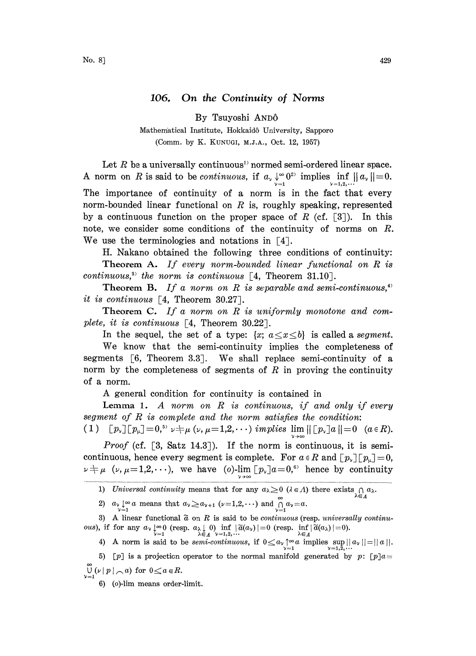## 106. On the Continuity of Norms

By Tsuyoshi AND6

Mathematical Institute, Hokkaid6 University, Sapporo (Comm. by K. KUNUGI, M.J.A., Oct. 12, 1957)

Let  $R$  be a universally continuous<sup>1</sup> normed semi-ordered linear space. A norm on R is said to be continuous, if  $a_{\nu} \downarrow_{=1}^{\infty} 0^{2\nu}$  implies  $\inf_{\nu=1,2,\dots} ||a_{\nu}|| = 0$ . The importance of continuity of a norm is in the fact that every norm-bounded linear functional on  $R$  is, roughly speaking, represented by a continuous function on the proper space of R (cf.  $[3]$ ). In this note, we consider some conditions of the continuity of norms on R. We use the terminologies and notations in  $\lceil 4 \rceil$ .

H. Nakano obtained the following three conditions of continuity: Theorem A. If every norm-bounded linear functional on R is

continuous,<sup>33</sup> the norm is continuous  $[4,$  Theorem 31.10.

**Theorem B.** If a norm on R is separable and semi-continuous,<sup>4)</sup> it is continuous  $\lceil 4$ . Theorem 30.27.

**Theorem C.** If a norm on  $R$  is uniformly monotone and complete, it is continuous  $\lceil 4$ , Theorem 30.22.

In the sequel, the set of a type:  $\{x: a \le x \le b\}$  is called a segment.

We know that the semi-continuity implies the completeness of segments  $\lceil 6$ , Theorem 3.3. We shall replace semi-continuity of a norm by the completeness of segments of  $R$  in proving the continuity of a norm.

A general condition for continuity is contained in

**Lemma 1.** A norm on  $R$  is continuous, if and only if every segment of  $R$  is complete and the norm satisfies the condition: segment of R is complete and the norm satisfies the condition:<br>  $(1)$   $[p_{\nu}][p_{\mu}] = 0$ ,<sup>5</sup>  $\nu \neq \mu$  ( $\nu$ ,  $\mu = 1,2,\cdots$ ) implies  $\lim_{\nu \to \infty} ||[p_{\nu}]a|| = 0$  ( $a \in R$ ).

Proof (cf. [3, Satz 14.3]). If the norm is continuous, it is semicontinuous, hence every segment is complete. For  $a \in R$  and  $[p_{\nu}][p_{\nu}]=0$ ,  $\nu \neq \mu$  ( $\nu, \mu = 1, 2, \cdots$ ), we have (o)-lim  $\left[ p_{\nu} \right] a = 0,^6$  hence by continuity

2)  $a_{\nu} \underset{\nu=1}{\downarrow} \infty a$  means that  $a_{\nu} \ge a_{\nu+1}$  ( $\nu=1,2,\cdots$ ) and  $\bigcap_{\nu=1}^{\infty} a_{\nu}=a$ .

3) A linear functional  $\tilde{a}$  on R is said to be *continuous* (resp. *universally continu-*3) A linear functional  $\tilde{a}$  on R is said to be *continuous* (resp. *universall*)<br> *ous*), if for any  $a_v \downarrow \infty 0$  (resp.  $a_{\lambda} \downarrow 0$ ) inf  $|\tilde{a}(a_v)| = 0$  (resp. inf $|\tilde{a}(a_{\lambda})| = 0$ ).<br>
4) A norm is said to be *semi-co* 

5) [p] is a projection operator to the normal manifold generated by p: [p]a=  $\widetilde{\mathsf{U}}_{\centerdot}(\nu \mid p \mid \frown a) \text{ for } 0 \leq a \in R.$ 

6) (o)-lim means order-limit.

<sup>1)</sup> Universal continuity means that for any  $a_{\lambda} \ge 0$  ( $\lambda \in \Lambda$ ) there exists  $\bigcap_{\lambda \in \Lambda} a_{\lambda}$ .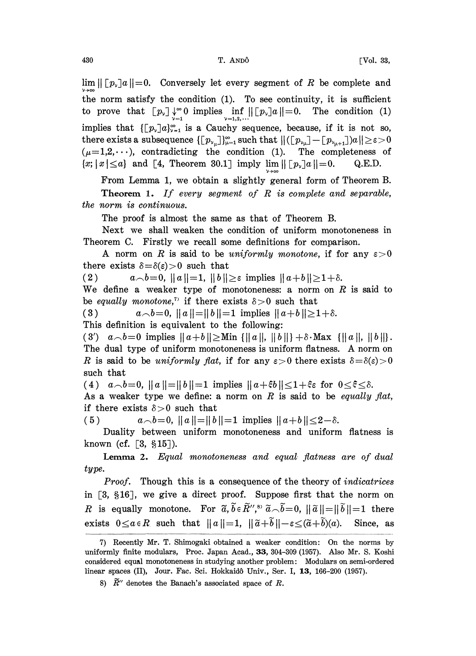$\lim ||[p_y]a||=0.$  Conversely let every segment of R be complete and the norm satisfy the condition (1). To see continuity, it is sufficient the norm satisfy the condition (1). To see continuity, it is sufficient<br>to prove that  $[p_{\nu}] \downarrow^{\infty} 0$  implies  $\inf_{\nu=1,2,...} |[p_{\nu}]a||=0$ . The condition (1) implies that  $\left[\left[p_{\nu}\right]a\right]_{\nu=1}^{\infty}$  is a Cauchy sequence, because, if it is not so, there exists a subsequence  $\{[p_{v_u}]\}_{u=1}^{\infty}$  such that  $\|([p_{v_u}]-[p_{v_{u+1}}]a\| \geq \varepsilon > 0$  $(\mu=1,2,\dots)$ , contradicting the condition (1). The completeness of  $\{x; |x| \le a\}$  and [4, Theorem 30.1] imply lim  $\| [p_\nu]a\| = 0.$  Q.E.D.

From Lemma 1, we obtain a slightly general form of Theorem B.

**Theorem 1.** If every segment of  $R$  is complete and separable, the norm is continuous.

The proof is almost the same as that of Theorem B.

Next we shall weaken the condition of uniform monotoneness in Theorem C. Firstly we recall some definitions for comparison.

A norm on R is said to be uniformly monotone, if for any  $\varepsilon > 0$ there exists  $\delta = \delta(\epsilon) > 0$  such that

(2)  $a_{\bigcirc}b=0, \|a\|=1, \|b\|\geq \varepsilon$  implies  $\|a+b\|\geq 1+\delta.$ 

We define a weaker type of monotoneness: a norm on  $R$  is said to be equally monotone,<sup>7</sup> if there exists  $\delta > 0$  such that<br>(3)  $a \wedge b = 0$ ,  $||a|| = ||b|| = 1$  implies  $||a+b|| \ge 1$ 

 $a \wedge b = 0, ||a|| = ||b|| = 1$  implies  $||a+b|| \ge 1+\delta.$ 

This definition is equivalent to the following:

(3')  $a \wedge b = 0$  implies  $||a+b|| \geq M$ in  $\{||a||, ||b||\} + \delta \cdot Max \{||a||, ||b||\}.$ The dual type of uniform monotoneness is uniform flatness. A norm on R is said to be uniformly flat, if for any  $\varepsilon > 0$  there exists  $\delta = \delta(\varepsilon) > 0$ such that

(4)  $a \wedge b=0$ ,  $||a||=||b||=1$  implies  $||a+\xi b|| \leq 1+\xi \varepsilon$  for  $0 \leq \xi \leq \delta$ .

As a weaker type we define: a norm on  $R$  is said to be *equally flat*, if there exists  $\delta > 0$  such that

(5)  $a \wedge b = 0, ||a|| = ||b|| = 1$  implies  $||a+b|| \leq 2-\delta.$ 

Duality between uniform monotoneness and uniform flatness is known (cf.  $[3, §15]$ ).

Lemma 2. Equal monotoneness and equal flatness are of dual type.

Proof. Though this is a consequence of the theory of *indicatrices* in  $\lceil 3, \S 16 \rceil$ , we give a direct proof. Suppose first that the norm on R is equally monotone. For  $\tilde{a}, \tilde{b} \in \tilde{R}''$ ,  $\tilde{b} \in \tilde{R}''$ ,  $\tilde{b} \in \tilde{b}$ ,  $\|\tilde{a}\| = \|\tilde{b}\| = 1$  there exists  $0 \le a \in R$  such that  $||a||=1$ ,  $||\tilde{a}+\tilde{b}||-\varepsilon \le (\tilde{a}+\tilde{b})(a)$ . Since, as

<sup>7)</sup> Recently Mr. T. Shimogaki obtained a weaker condition: On the norms by uniformly finite modulars, Proc. Japan Acad., 33, 304-309 (1957). Also Mr. S. Koshi considered equal monotoneness in studying another problem: Modulars on semi-ordered linear spaces (II), Jour. Fac. Sci. Hokkaidô Univ., Ser. I, 13, 166-200 (1957).

<sup>8)</sup>  $\widetilde{R}''$  denotes the Banach's associated space of R.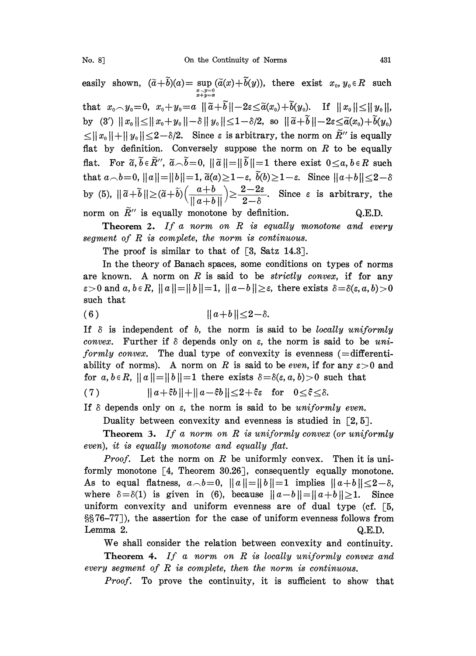No. 8] On the Continuity of Norms 431

easily shown,  $(\tilde{a}+b)(a) = \sup_{\substack{x-y=0 \ x+y=a}} (\tilde{a}(x)+b(y)),$  there exist  $x_0, y_0 \in R$  such that  $x_0 \sim y_0 = 0$ ,  $x_0 + y_0 = a \|\tilde{a} + \tilde{b}\| - 2\varepsilon \leq \tilde{a}(x_0) + \tilde{b}(y_0)$ . If  $\|x_0\| \leq \|y_0\|$ , by (3')  $||x_0|| \le ||x_0+y_0|| - \delta ||y_0|| \le 1-\delta/2$ , so  $||\tilde{a}+\tilde{b}||-2\varepsilon \le \tilde{a}(x_0)+\tilde{b}(y_0)$  $\leq ||x_0|| + ||y_0|| \leq 2 - \delta/2$ . Since  $\varepsilon$  is arbitrary, the norm on  $\widetilde{R}''$  is equally flat by definition. Conversely suppose the norm on  $R$  to be equally flat. For  $\tilde{a}, \tilde{b} \in \tilde{R}''$ ,  $\tilde{a} \cap \tilde{b}=0$ ,  $\|\tilde{a}\|=\|\tilde{b}\|=1$  there exist  $0 \le a, b \in R$  such that  $a\_{b=0}$ ,  $||a||=||b||=1$ ,  $\tilde{a}(a)\geq 1-\varepsilon$ ,  $\tilde{b}(b)\geq 1-\varepsilon$ . Since  $||a+b||\leq 2-\delta$ by (5),  $\|\tilde{a}+\tilde{b}\| \ge (\tilde{a}+\tilde{b})(\frac{a+b}{\|a+b\|}) \ge \frac{2-2\varepsilon}{2-\delta}$ . Since  $\varepsilon$  is arbitrary, the norm on  $\tilde{R}''$  is equally monotone by definition.  $Q.E.D.$ 

**Theorem 2.** If a norm on  $R$  is equally monotone and every segment of  $R$  is complete, the norm is continuous.

The proof is similar to that of [3, Satz 14.3].

In the theory of Banach spaces, some conditions on types of norms are known. A norm on R is said to be strictly convex, if for any  $\varepsilon > 0$  and  $a, b \in R$ ,  $||a|| = ||b|| = 1$ ,  $||a-b|| \ge \varepsilon$ , there exists  $\delta = \delta(\varepsilon, a, b) > 0$ such that

(6)  $||a+b|| \leq 2-\delta.$ 

If  $\delta$  is independent of b, the norm is said to be locally uniformly convex. Further if  $\delta$  depends only on  $\varepsilon$ , the norm is said to be uni*formly convex.* The dual type of convexity is evenness  $(=differential$ ability of norms). A norm on R is said to be even, if for any  $\varepsilon > 0$  and for  $a, b \in R$ ,  $||a|| = ||b|| = 1$  there exists  $\delta = \delta(\varepsilon, a, b) > 0$  such that

(7)  $||a+\xi b||+||a-\xi b|| \leq 2+\xi \epsilon$  for  $0 \leq \xi \leq \delta$ .

If  $\delta$  depends only on  $\varepsilon$ , the norm is said to be *uniformly even*.

Duality between convexity and evenness is studied in  $\lceil 2, 5 \rceil$ .

**Theorem 3.** If a norm on  $R$  is uniformly convex (or uniformly even), it is equally monotone and equally fiat.

*Proof.* Let the norm on R be uniformly convex. Then it is uniformly monotone  $[4,$  Theorem 30.26], consequently equally monotone. As to equal flatness,  $a\rightarrow b=0$ ,  $||a||=||b||=1$  implies  $||a+b||\leq 2-\delta$ , where  $\delta = \delta(1)$  is given in (6), because  $||a-b|| = ||a+b|| \ge 1$ . Since uniform convexity and uniform evenness are of dual type (cf.  $\lceil 5 \rceil$ , 76-77), the assertion for the case of uniform evenness follows from Lemma 2. Q.E.D.

We shall consider the relation between convexity and continuity.

Theorem 4. If a norm on  $R$  is locally uniformly convex and every segment of  $R$  is complete, then the norm is continuous.

Proof. To prove the continuity, it is sufficient to show that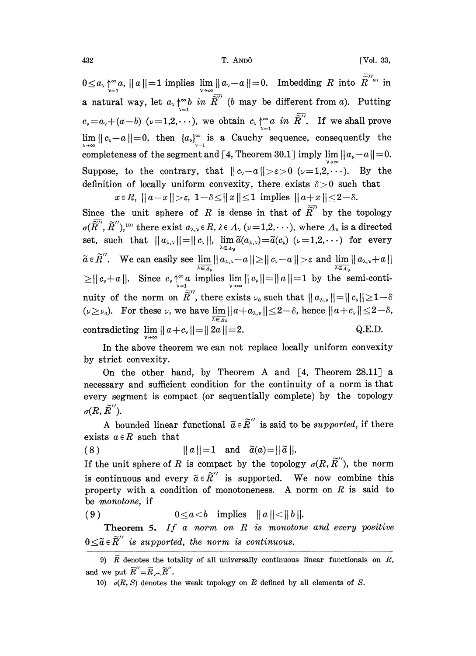T. ANDÔ

[Vol. 33,

 $0 \le a_{\nu} {\sim \atop \nu=1}^{\infty} a, ||a||=1$  implies  $\lim_{\nu \to \infty} ||a_{\nu}-a||=0$ . Imbedding R into  $\widetilde{R}^{\prime\prime}$ <sup>9</sup> in a natural way, let  $a_{\nu} \uparrow_{\nu=1}^{\infty} b$  in  $\overline{\widetilde{R}}''$  (b may be different from a). Putting  $c_{\nu} = a_{\nu} + (a - b)$  ( $\nu = 1, 2, \dots$ ), we obtain  $c_{\nu} \uparrow_{\nu=1}^{\infty}$  and  $\overline{R}^{\prime\prime}$ . If we shall prove<br>  $\lim_{\nu \to \infty} ||c_{\nu} - a|| = 0$ , then  $\{a_{\nu}\}_{\nu=1}^{\infty}$  is a Cauchy sequence, consequently the completeness of the segment and [4, Theorem 30.1] imply  $\lim_{y\to\infty}||a_y-a||=0$ . Suppose, to the contrary, that  $||c_v-a|| > \epsilon > 0$  ( $\nu=1,2,\dots$ ). By the definition of locally uniform convexity, there exists  $\delta > 0$  such that  $x \in R$ ,  $||a-x|| > \varepsilon$ ,  $1-\delta \le ||x|| \le 1$  implies  $||a+x|| \le 2-\delta$ .

Since the unit sphere of R is dense in that of  $\overline{\widetilde{R}}^{\prime\prime}$  by the topology  $\sigma(\widetilde{R}^{\prime\prime},\widetilde{R}^{\prime\prime}),^{10}$  there exist  $a_{\lambda,\nu}\in R$ ,  $\lambda\in\Lambda_{\nu}$  ( $\nu=1,2,\cdot\cdot\cdot$ ), where  $\Lambda_{\nu}$  is a directed set, such that  $||a_{\lambda,\nu}||=||c_{\nu}||$ ,  $\lim_{\lambda\in\Lambda_{\nu}}\tilde{a}(a_{\lambda,\nu})=\tilde{a}(c_{\nu})$   $(\nu=1,2,\cdots)$  for every  $\widetilde{a} \in \widetilde{R}''$ . We can easily see  $\lim_{\lambda \in A_y} ||a_{\lambda,\nu} - a|| \ge ||c_{\nu} - a|| > \varepsilon$  and  $\lim_{\lambda \in A_y} ||a_{\lambda,\nu} + a|| \ge ||c_{\nu} + a||$ .<br>  $\ge ||c_{\nu} + a||$ . Since  $c_{\nu} \uparrow^{\infty} a$  implies  $\lim_{\nu \to \infty} ||c_{\nu}|| = ||a|| = 1$  by the semi-continuity of the norm on  $\overline{\widetilde{R}}''$ , there exists  $\nu_0$  such that  $||a_{\lambda,\nu}||=||c_{\nu}|| \geq 1-\delta$  $(\nu \ge \nu_0)$ . For these  $\nu$ , we have  $\lim_{m} ||a + a_{\lambda,\nu}|| \le 2 - \delta$ , hence  $||a + c_{\nu}|| \le 2 - \delta$ , contradicting  $\lim ||a+c_v|| = ||2a||=2$ . Q.E.D.

In the above theorem we can not replace locally uniform convexity by strict convexity.

On the other hand, by Theorem A and  $[4,$  Theorem 28.11] a necessary and sufficient condition for the continuity of a norm is that every segment is compact (or sequentially complete) by the topology  $\sigma(R,\tilde{R}^{\prime\prime}).$ 

A bounded linear functional  $\tilde{a} \in \tilde{R}''$  is said to be *supported*, if there exists  $a \in R$  such that

 $||a||=1$  and  $\tilde{a}(a)=||\tilde{a}||.$  $(8)$ 

If the unit sphere of R is compact by the topology  $\sigma(R, \tilde{R}^{\prime\prime})$ , the norm is continuous and every  $\tilde{a} \in \tilde{R}''$  is supported. We now combine this property with a condition of monotoneness. A norm on  $R$  is said to be *monotone*, if

 $0 \leq a < b$  implies  $||a|| < ||b||$ .  $(9)$ 

**Theorem 5.** If a norm on  $R$  is monotone and every positive  $0 \leq \widetilde{a} \in \widetilde{R}''$  is supported, the norm is continuous.

<sup>9)</sup>  $\overline{R}$  denotes the totality of all universally continuous linear functionals on  $R$ , and we put  $\overline{R}'' = \overline{R} \cap \widetilde{R}''$ .

<sup>10)</sup>  $o(R, S)$  denotes the weak topology on R defined by all elements of S.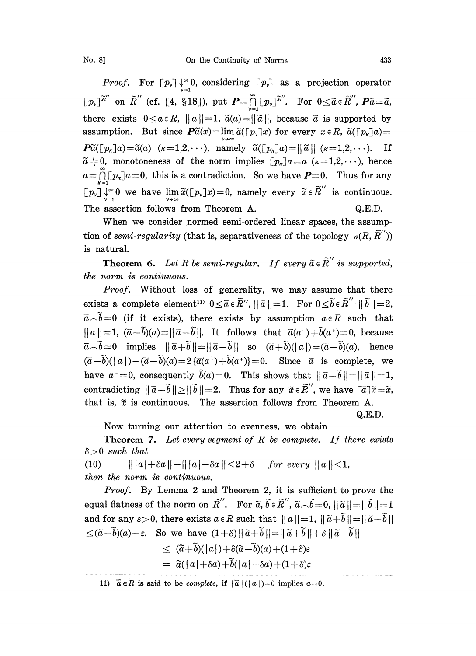*Proof.* For  $[p_{\nu}] \downarrow_{-1}^{\infty} 0$ , considering  $[p_{\nu}]$  as a projection operator  $[p_{\nu}]\widetilde{R}''$  on  $\widetilde{R}''$  (cf. [4, §18]), put  $P=\bigcap_{i=1}^{\infty} [p_{\nu}]^{\widetilde{R}''}$ . For  $0\leq \widetilde{a} \in \widetilde{R}''$ ,  $P\widetilde{a}=\widetilde{a}$ , there exists  $0 \le a \in R$ ,  $||a||=1$ ,  $\tilde{a}(a)=||\tilde{a}||$ , because  $\tilde{a}$  is supported by assumption. But since  $\mathbf{P}\tilde{a}(x)=\lim \tilde{a}([p_{y}]x)$  for every  $x \in R$ ,  $\tilde{a}([p_{k}]a)=$  $\tilde{P}(\lfloor p_{\kappa}\rfloor a)=\tilde{a}(a)$  ( $\kappa=1,2,\cdots$ ), namely  $\tilde{a}(\lfloor p_{\kappa}\rfloor a)=\|\tilde{a}\|$  ( $\kappa=1,2,\cdots$ ). If  $\tilde{a} \neq 0$ , monotoneness of the norm implies  $[p_{\kappa}]a=a$   $(\kappa=1,2,\cdots)$ , hence  $a=\prod_{k=1}^{\infty}[p_k]a=0$ , this is a contradiction. So we have  $P=0$ . Thus for any  $a = \prod_{\kappa=1}^{\infty} [p_{\kappa}] a = 0$ , this is a contradiction. So we have  $P = 0$ . Thus for any<br>  $[p_{\nu}] \downarrow^{\infty} 0$  we have  $\lim_{\nu \to \infty} \tilde{x}([p_{\nu}]x) = 0$ , namely every  $\tilde{x} \in \tilde{R}$  is continuous. The assertion follows from Theorem A.  $Q.E.D.$ 

When we consider normed semi-ordered linear spaces, the assumption of semi-regularity (that is, separativeness of the topology  $\sigma(R, \overline{R}^{\prime\prime})$ ) is natural.

**Theorem 6.** Let R be semi-regular. If every  $\tilde{a} \in \tilde{R}$  is supported, the norm is continuous.

Proof. Without loss of generality, we may assume that there exists a complete element<sup>11)</sup>  $0 \leq \overline{a} \in \overline{R}''$ ,  $\|\overline{a}\| = 1$ . For  $\overline{a} \setminus \overline{b}=0$  (if it exists), there exists by assumption  $a \in R$  such that  $||a||=1, (\bar{a}-\tilde{b})(a)=||\bar{a}-\tilde{b}||.$  It follows that  $\bar{a}(a^-)+\tilde{b}(a^+)=0$ , because  $\overline{a}-\overline{b}=0$  implies  $\|\overline{a}+\overline{b}\|=\|\overline{a}-\overline{b}\|$  so  $(\overline{a}+\overline{b})(|a|)=(\overline{a}-\overline{b})(a)$ , hence  $(\overline{a}+\overline{b})(|a|)-(\overline{a}-\overline{b})(a)=2\{\overline{a}(a^-)+\overline{b}(a^*)\}=0.$  Since  $\overline{a}$  is complete, we have  $a^-=0$ , consequently  $\tilde{b}(a)=0$ . This shows that  $||\bar{a}-\tilde{b}||=||\bar{a}||=1$ , contradicting  $\|\bar{a}-\tilde{b}\| \geq \|\tilde{b}\| = 2$ . Thus for any  $\tilde{x} \in \tilde{R}''$ , we have  $\lceil \tilde{a} \rceil \tilde{x} = \tilde{x}$ , that is,  $\tilde{x}$  is continuous. The assertion follows from Theorem A.

Q.E.D.

Now turning our attention to evenness, we obtain

**Theorem 7.** Let every segment of R be complete. If there exists  $\delta$  > 0 such that

(10)  $\|a\|+\delta a\|+\|a\|-\delta a\|\leq 2+\delta$  for every  $\|a\|\leq 1$ , then the norm is continuous.

Proof. By Lemma 2 and Theorem 2, it is sufficient to prove the equal flatness of the norm on  $\tilde{R}''$ . For  $\tilde{a}, \tilde{b} \in \tilde{R}''$ ,  $\tilde{a} \cap \tilde{b} = 0$ ,  $\|\tilde{a}\| = \|\tilde{b}\| = 1$ and for any  $\varepsilon > 0$ , there exists  $a \in R$  such that  $||a||=1$ ,  $||\tilde{a}+\tilde{b}||=||\tilde{a}-\tilde{b}||$  $\leq (\tilde{a}-\tilde{b})(a)+\varepsilon$ . So we have  $(1+\delta) || \tilde{a}+\tilde{b}||=|| \tilde{a}+\tilde{b}||+\delta || \tilde{a}-\tilde{b}||$  $\leq$   $(\tilde{a}+\tilde{b})(|a|)+\delta(\tilde{a}-\tilde{b})(a)+(1+\delta)\varepsilon$ 

$$
= \tilde{a}(|a|+\delta a)+\tilde{b}(|a|-\delta a)+(1+\delta)\varepsilon
$$

11)  $\vec{a} \in \vec{R}$  is said to be *complete*, if  $|\vec{a}| (|a|)=0$  implies  $a=0$ .